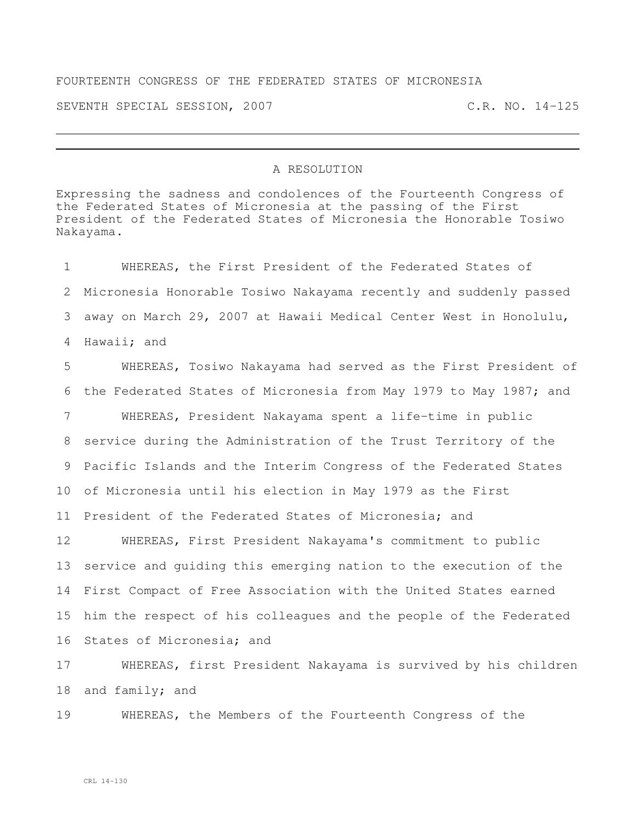## FOURTEENTH CONGRESS OF THE FEDERATED STATES OF MICRONESIA

SEVENTH SPECIAL SESSION, 2007 C.R. NO. 14-125

## A RESOLUTION

Expressing the sadness and condolences of the Fourteenth Congress of the Federated States of Micronesia at the passing of the First President of the Federated States of Micronesia the Honorable Tosiwo Nakayama.

 WHEREAS, the First President of the Federated States of Micronesia Honorable Tosiwo Nakayama recently and suddenly passed away on March 29, 2007 at Hawaii Medical Center West in Honolulu, Hawaii; and

 WHEREAS, Tosiwo Nakayama had served as the First President of the Federated States of Micronesia from May 1979 to May 1987; and WHEREAS, President Nakayama spent a life-time in public service during the Administration of the Trust Territory of the Pacific Islands and the Interim Congress of the Federated States of Micronesia until his election in May 1979 as the First President of the Federated States of Micronesia; and

 WHEREAS, First President Nakayama's commitment to public service and guiding this emerging nation to the execution of the First Compact of Free Association with the United States earned him the respect of his colleagues and the people of the Federated States of Micronesia; and

 WHEREAS, first President Nakayama is survived by his children and family; and

WHEREAS, the Members of the Fourteenth Congress of the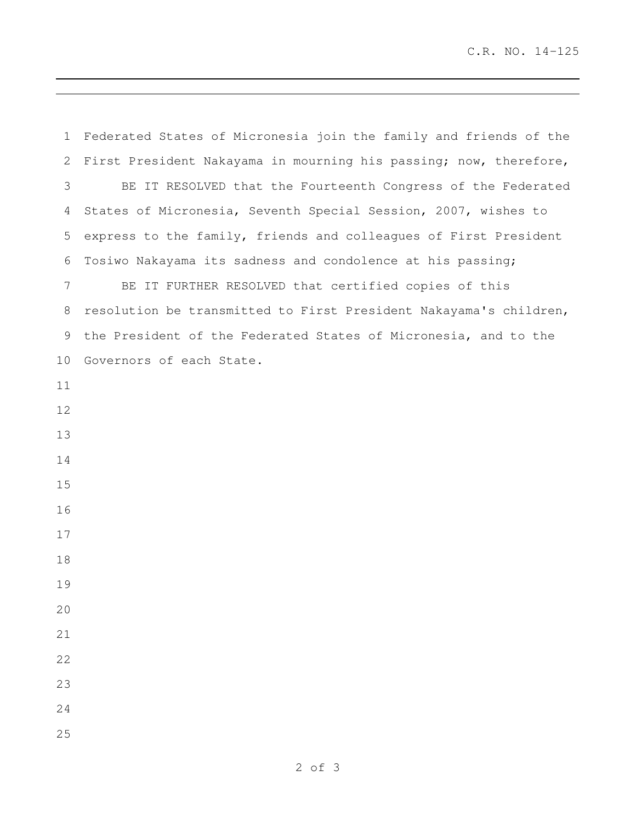C.R. NO. 14-125

 Federated States of Micronesia join the family and friends of the First President Nakayama in mourning his passing; now, therefore, BE IT RESOLVED that the Fourteenth Congress of the Federated States of Micronesia, Seventh Special Session, 2007, wishes to express to the family, friends and colleagues of First President Tosiwo Nakayama its sadness and condolence at his passing; BE IT FURTHER RESOLVED that certified copies of this resolution be transmitted to First President Nakayama's children, the President of the Federated States of Micronesia, and to the Governors of each State.